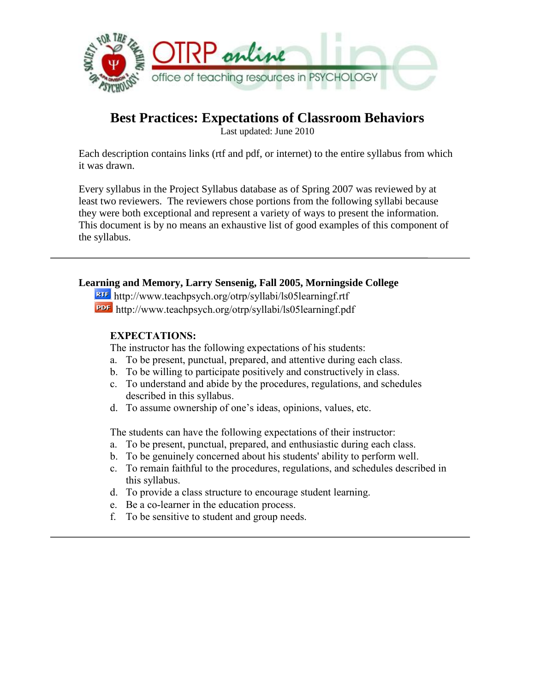

# **Best Practices: Expectations of Classroom Behaviors**

Last updated: June 2010

Each description contains links (rtf and pdf, or internet) to the entire syllabus from which it was drawn.

Every syllabus in the Project Syllabus database as of Spring 2007 was reviewed by at least two reviewers. The reviewers chose portions from the following syllabi because they were both exceptional and represent a variety of ways to present the information. This document is by no means an exhaustive list of good examples of this component of the syllabus.

# **Learning and Memory, Larry Sensenig, Fall 2005, Morningside College**

http://www.teachpsych.org/otrp/syllabi/ls05learningf.rtf http://www.teachpsych.org/otrp/syllabi/ls05learningf.pdf

# **EXPECTATIONS:**

The instructor has the following expectations of his students:

- a. To be present, punctual, prepared, and attentive during each class.
- b. To be willing to participate positively and constructively in class.
- c. To understand and abide by the procedures, regulations, and schedules described in this syllabus.
- d. To assume ownership of one's ideas, opinions, values, etc.

The students can have the following expectations of their instructor:

- a. To be present, punctual, prepared, and enthusiastic during each class.
- b. To be genuinely concerned about his students' ability to perform well.
- c. To remain faithful to the procedures, regulations, and schedules described in this syllabus.
- d. To provide a class structure to encourage student learning.
- e. Be a co-learner in the education process.
- f. To be sensitive to student and group needs.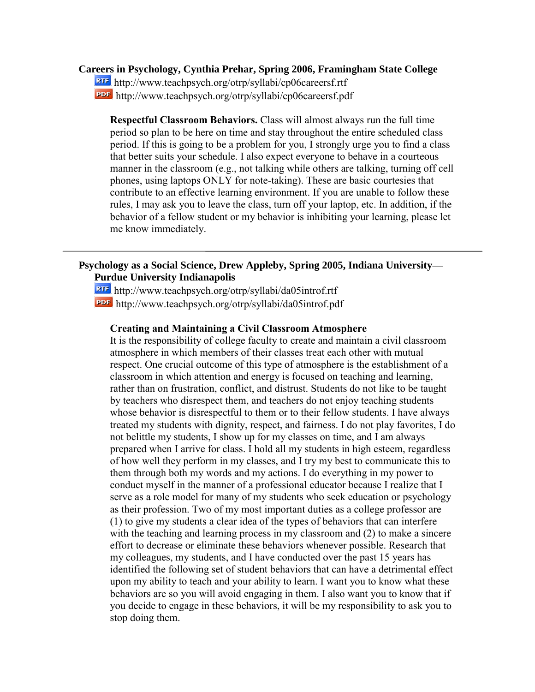#### **Careers in Psychology, Cynthia Prehar, Spring 2006, Framingham State College**

http://www.teachpsych.org/otrp/syllabi/cp06careersf.rtf http://www.teachpsych.org/otrp/syllabi/cp06careersf.pdf

**Respectful Classroom Behaviors.** Class will almost always run the full time period so plan to be here on time and stay throughout the entire scheduled class period. If this is going to be a problem for you, I strongly urge you to find a class that better suits your schedule. I also expect everyone to behave in a courteous manner in the classroom (e.g., not talking while others are talking, turning off cell phones, using laptops ONLY for note-taking). These are basic courtesies that contribute to an effective learning environment. If you are unable to follow these rules, I may ask you to leave the class, turn off your laptop, etc. In addition, if the behavior of a fellow student or my behavior is inhibiting your learning, please let me know immediately.

# **Psychology as a Social Science, Drew Appleby, Spring 2005, Indiana University— Purdue University Indianapolis**

http://www.teachpsych.org/otrp/syllabi/da05introf.rtf http://www.teachpsych.org/otrp/syllabi/da05introf.pdf

#### **Creating and Maintaining a Civil Classroom Atmosphere**

It is the responsibility of college faculty to create and maintain a civil classroom atmosphere in which members of their classes treat each other with mutual respect. One crucial outcome of this type of atmosphere is the establishment of a classroom in which attention and energy is focused on teaching and learning, rather than on frustration, conflict, and distrust. Students do not like to be taught by teachers who disrespect them, and teachers do not enjoy teaching students whose behavior is disrespectful to them or to their fellow students. I have always treated my students with dignity, respect, and fairness. I do not play favorites, I do not belittle my students, I show up for my classes on time, and I am always prepared when I arrive for class. I hold all my students in high esteem, regardless of how well they perform in my classes, and I try my best to communicate this to them through both my words and my actions. I do everything in my power to conduct myself in the manner of a professional educator because I realize that I serve as a role model for many of my students who seek education or psychology as their profession. Two of my most important duties as a college professor are (1) to give my students a clear idea of the types of behaviors that can interfere with the teaching and learning process in my classroom and (2) to make a sincere effort to decrease or eliminate these behaviors whenever possible. Research that my colleagues, my students, and I have conducted over the past 15 years has identified the following set of student behaviors that can have a detrimental effect upon my ability to teach and your ability to learn. I want you to know what these behaviors are so you will avoid engaging in them. I also want you to know that if you decide to engage in these behaviors, it will be my responsibility to ask you to stop doing them.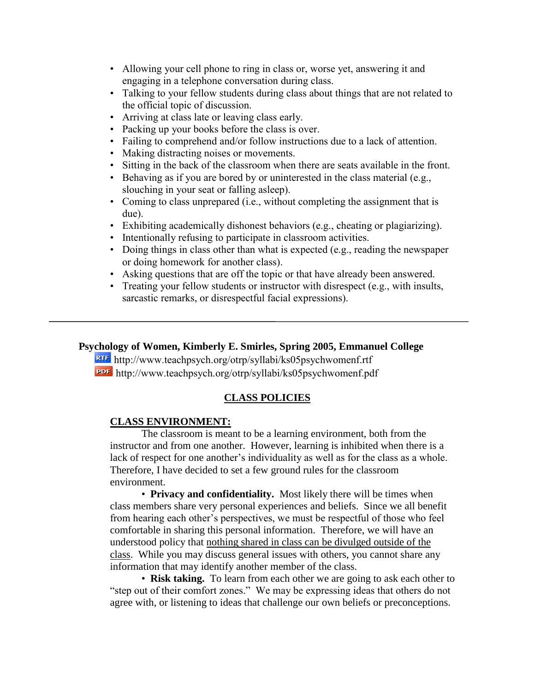- Allowing your cell phone to ring in class or, worse yet, answering it and engaging in a telephone conversation during class.
- Talking to your fellow students during class about things that are not related to the official topic of discussion.
- Arriving at class late or leaving class early.
- Packing up your books before the class is over.
- Failing to comprehend and/or follow instructions due to a lack of attention.
- Making distracting noises or movements.
- Sitting in the back of the classroom when there are seats available in the front.
- Behaving as if you are bored by or uninterested in the class material (e.g., slouching in your seat or falling asleep).
- Coming to class unprepared (i.e., without completing the assignment that is due).
- Exhibiting academically dishonest behaviors (e.g., cheating or plagiarizing).
- Intentionally refusing to participate in classroom activities.
- Doing things in class other than what is expected (e.g., reading the newspaper or doing homework for another class).
- Asking questions that are off the topic or that have already been answered.
- Treating your fellow students or instructor with disrespect (e.g., with insults, sarcastic remarks, or disrespectful facial expressions).

# **Psychology of Women, Kimberly E. Smirles, Spring 2005, Emmanuel College**

http://www.teachpsych.org/otrp/syllabi/ks05psychwomenf.rtf http://www.teachpsych.org/otrp/syllabi/ks05psychwomenf.pdf

# **CLASS POLICIES**

### **CLASS ENVIRONMENT:**

The classroom is meant to be a learning environment, both from the instructor and from one another. However, learning is inhibited when there is a lack of respect for one another's individuality as well as for the class as a whole. Therefore, I have decided to set a few ground rules for the classroom environment.

• **Privacy and confidentiality.** Most likely there will be times when class members share very personal experiences and beliefs. Since we all benefit from hearing each other's perspectives, we must be respectful of those who feel comfortable in sharing this personal information. Therefore, we will have an understood policy that nothing shared in class can be divulged outside of the class. While you may discuss general issues with others, you cannot share any information that may identify another member of the class.

• **Risk taking.** To learn from each other we are going to ask each other to "step out of their comfort zones." We may be expressing ideas that others do not agree with, or listening to ideas that challenge our own beliefs or preconceptions.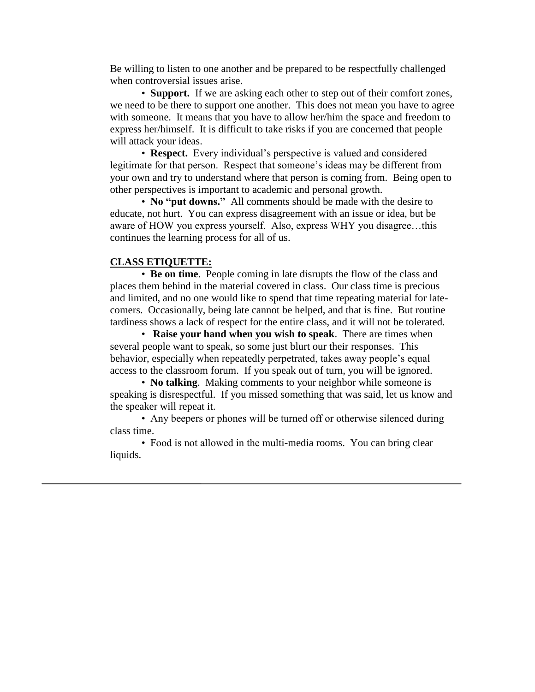Be willing to listen to one another and be prepared to be respectfully challenged when controversial issues arise.

• **Support.** If we are asking each other to step out of their comfort zones, we need to be there to support one another. This does not mean you have to agree with someone. It means that you have to allow her/him the space and freedom to express her/himself. It is difficult to take risks if you are concerned that people will attack your ideas.

• **Respect.** Every individual's perspective is valued and considered legitimate for that person. Respect that someone's ideas may be different from your own and try to understand where that person is coming from. Being open to other perspectives is important to academic and personal growth.

• **No "put downs."** All comments should be made with the desire to educate, not hurt. You can express disagreement with an issue or idea, but be aware of HOW you express yourself. Also, express WHY you disagree…this continues the learning process for all of us.

#### **CLASS ETIQUETTE:**

• **Be on time**. People coming in late disrupts the flow of the class and places them behind in the material covered in class. Our class time is precious and limited, and no one would like to spend that time repeating material for latecomers. Occasionally, being late cannot be helped, and that is fine. But routine tardiness shows a lack of respect for the entire class, and it will not be tolerated.

• **Raise your hand when you wish to speak**. There are times when several people want to speak, so some just blurt our their responses. This behavior, especially when repeatedly perpetrated, takes away people's equal access to the classroom forum. If you speak out of turn, you will be ignored.

• **No talking**. Making comments to your neighbor while someone is speaking is disrespectful. If you missed something that was said, let us know and the speaker will repeat it.

• Any beepers or phones will be turned off or otherwise silenced during class time.

• Food is not allowed in the multi-media rooms. You can bring clear liquids.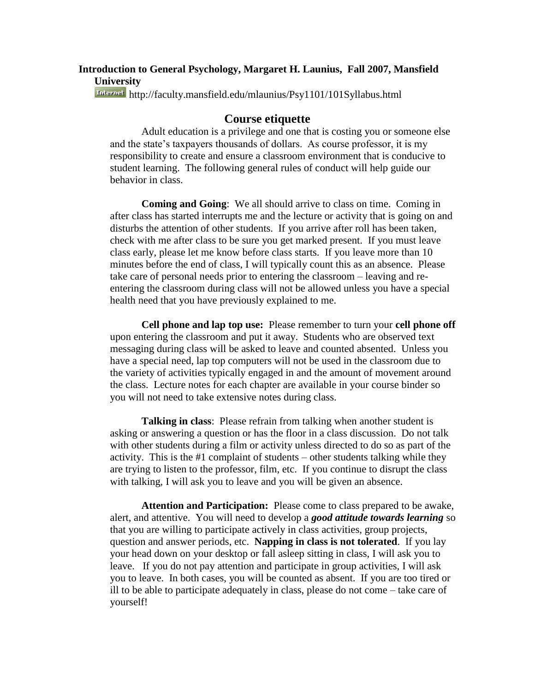# **Introduction to General Psychology, Margaret H. Launius, Fall 2007, Mansfield University**

<http://faculty.mansfield.edu/mlaunius/Psy1101/101Syllabus.html>

### **Course etiquette**

Adult education is a privilege and one that is costing you or someone else and the state's taxpayers thousands of dollars. As course professor, it is my responsibility to create and ensure a classroom environment that is conducive to student learning. The following general rules of conduct will help guide our behavior in class.

**Coming and Going**: We all should arrive to class on time. Coming in after class has started interrupts me and the lecture or activity that is going on and disturbs the attention of other students. If you arrive after roll has been taken, check with me after class to be sure you get marked present. If you must leave class early, please let me know before class starts. If you leave more than 10 minutes before the end of class, I will typically count this as an absence. Please take care of personal needs prior to entering the classroom – leaving and reentering the classroom during class will not be allowed unless you have a special health need that you have previously explained to me.

**Cell phone and lap top use:** Please remember to turn your **cell phone off** upon entering the classroom and put it away. Students who are observed text messaging during class will be asked to leave and counted absented. Unless you have a special need, lap top computers will not be used in the classroom due to the variety of activities typically engaged in and the amount of movement around the class. Lecture notes for each chapter are available in your course binder so you will not need to take extensive notes during class.

**Talking in class**: Please refrain from talking when another student is asking or answering a question or has the floor in a class discussion. Do not talk with other students during a film or activity unless directed to do so as part of the activity. This is the #1 complaint of students – other students talking while they are trying to listen to the professor, film, etc. If you continue to disrupt the class with talking, I will ask you to leave and you will be given an absence.

**Attention and Participation:** Please come to class prepared to be awake, alert, and attentive. You will need to develop a *good attitude towards learning* so that you are willing to participate actively in class activities, group projects, question and answer periods, etc. **Napping in class is not tolerated**. If you lay your head down on your desktop or fall asleep sitting in class, I will ask you to leave. If you do not pay attention and participate in group activities, I will ask you to leave. In both cases, you will be counted as absent. If you are too tired or ill to be able to participate adequately in class, please do not come – take care of yourself!